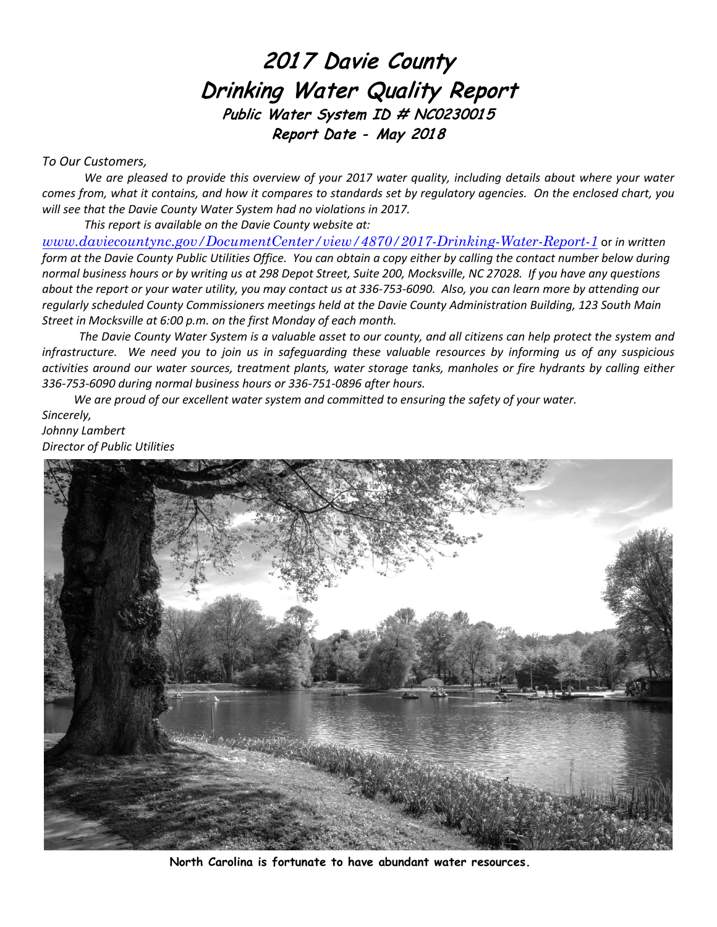# 2017 Davie County Drinking Water Quality Report Public Water System ID # NC0230015 Report Date - May 2018

### *To Our Customers,*

*We are pleased to provide this overview of your 2017 water quality, including details about where your water comes from, what it contains, and how it compares to standards set by regulatory agencies. On the enclosed chart, you will see that the Davie County Water System had no violations in 2017.* 

*This report is available on the Davie County website at:* 

*[www.daviecountync.gov/DocumentCenter/view/48](https://www.daviecountync.gov/DocumentCenter/View/4870/2017-Drinking-Water-Report)70/2017-Drinking-Water-Report-1* or *in written form at the Davie County Public Utilities Office. You can obtain a copy either by calling the contact number below during normal business hours or by writing us at 298 Depot Street, Suite 200, Mocksville, NC 27028. If you have any questions about the report or your water utility, you may contact us at 336-753-6090. Also, you can learn more by attending our regularly scheduled County Commissioners meetings held at the Davie County Administration Building, 123 South Main Street in Mocksville at 6:00 p.m. on the first Monday of each month.*

*The Davie County Water System is a valuable asset to our county, and all citizens can help protect the system and infrastructure. We need you to join us in safeguarding these valuable resources by informing us of any suspicious activities around our water sources, treatment plants, water storage tanks, manholes or fire hydrants by calling either 336-753-6090 during normal business hours or 336-751-0896 after hours.*

*We are proud of our excellent water system and committed to ensuring the safety of your water. Sincerely, Johnny Lambert*

*Director of Public Utilities*



**North Carolina is fortunate to have abundant water resources.**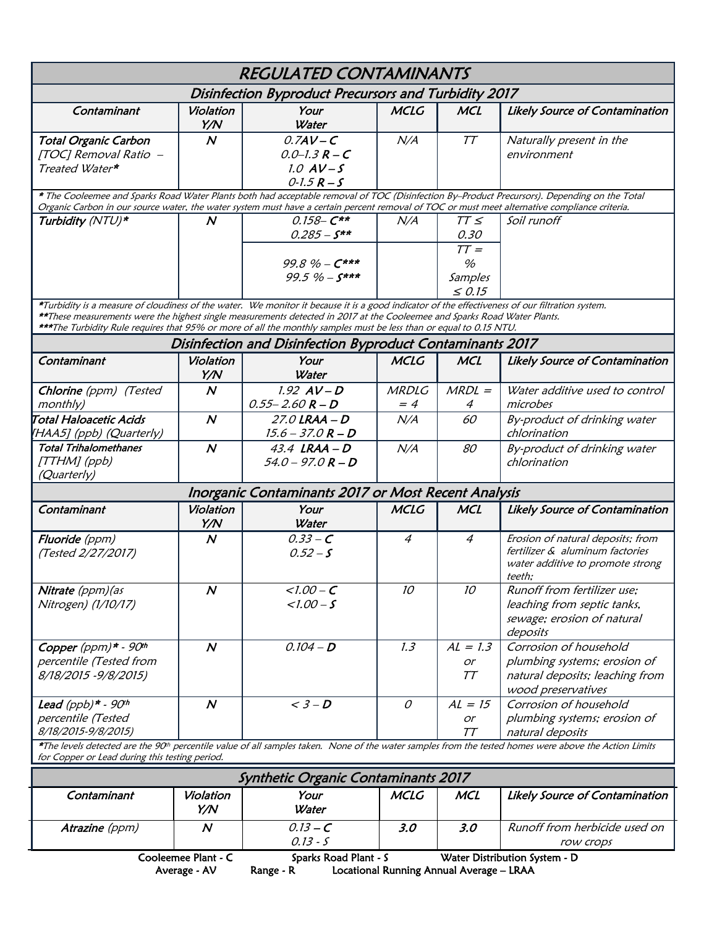|                                                                                                                                                                                                                                                                                                                                                                                                    |                  | <b>REGULATED CONTAMINANTS</b>                                            |                      |                                                            |                                                                                                                                                                   |  |  |  |
|----------------------------------------------------------------------------------------------------------------------------------------------------------------------------------------------------------------------------------------------------------------------------------------------------------------------------------------------------------------------------------------------------|------------------|--------------------------------------------------------------------------|----------------------|------------------------------------------------------------|-------------------------------------------------------------------------------------------------------------------------------------------------------------------|--|--|--|
| Disinfection Byproduct Precursors and Turbidity 2017                                                                                                                                                                                                                                                                                                                                               |                  |                                                                          |                      |                                                            |                                                                                                                                                                   |  |  |  |
| Contaminant                                                                                                                                                                                                                                                                                                                                                                                        | Violation<br>Y/N | Your<br>Water                                                            | <b>MCLG</b>          | <b>MCL</b>                                                 | Likely Source of Contamination                                                                                                                                    |  |  |  |
| <b>Total Organic Carbon</b><br>[TOC] Removal Ratio -<br>Treated Water*                                                                                                                                                                                                                                                                                                                             | $\boldsymbol{N}$ | $0.7AV-C$<br>$0.0 - 1.3 R - C$<br>$1.0$ AV-S<br>$0 - 1.5 R - S$          | N/A                  | TT                                                         | Naturally present in the<br>environment                                                                                                                           |  |  |  |
| * The Cooleemee and Sparks Road Water Plants both had acceptable removal of TOC (Disinfection By-Product Precursors). Depending on the Total<br>Organic Carbon in our source water, the water system must have a certain percent removal of TOC or must meet alternative compliance criteria.                                                                                                      |                  |                                                                          |                      |                                                            |                                                                                                                                                                   |  |  |  |
| Turbidity (NTU)*                                                                                                                                                                                                                                                                                                                                                                                   | $\boldsymbol{N}$ | $0.158 - C**$<br>$0.285 - S^{**}$<br>$99.8\% - C***$<br>$99.5 \% - S***$ | N/A                  | $TT \leq$<br>0.30<br>$TT =$<br>%<br>Samples<br>$\leq 0.15$ | Soil runoff                                                                                                                                                       |  |  |  |
| *Turbidity is a measure of cloudiness of the water. We monitor it because it is a good indicator of the effectiveness of our filtration system.<br>**These measurements were the highest single measurements detected in 2017 at the Cooleemee and Sparks Road Water Plants.<br>***The Turbidity Rule requires that 95% or more of all the monthly samples must be less than or equal to 0.15 NTU. |                  |                                                                          |                      |                                                            |                                                                                                                                                                   |  |  |  |
| Disinfection and Disinfection Byproduct Contaminants 2017                                                                                                                                                                                                                                                                                                                                          |                  |                                                                          |                      |                                                            |                                                                                                                                                                   |  |  |  |
| Contaminant                                                                                                                                                                                                                                                                                                                                                                                        | Violation<br>Y/N | Your<br>Water                                                            | <b>MCLG</b>          | <b>MCL</b>                                                 | <b>Likely Source of Contamination</b>                                                                                                                             |  |  |  |
| Chlorine (ppm) (Tested<br>monthly)                                                                                                                                                                                                                                                                                                                                                                 | $\boldsymbol{N}$ | $1.92$ $AV-D$<br>$0.55 - 2.60 R - D$                                     | <b>MRDLG</b><br>$=4$ | $MRDL =$<br>$\overline{4}$                                 | Water additive used to control<br>microbes                                                                                                                        |  |  |  |
| Total Haloacetic Acids<br>[HAA5] (ppb) (Quarterly)                                                                                                                                                                                                                                                                                                                                                 | $\boldsymbol{N}$ | $27.0$ LRAA $-D$<br>$15.6 - 37.0 R - D$                                  | N/A                  | 60                                                         | By-product of drinking water<br>chlorination                                                                                                                      |  |  |  |
| <b>Total Trihalomethanes</b><br>[TTHM] (ppb)<br>(Quarterly)                                                                                                                                                                                                                                                                                                                                        | $\boldsymbol{N}$ | $43.4$ LRAA - D<br>$54.0 - 97.0 R - D$                                   | N/A                  | 80                                                         | By-product of drinking water<br>chlorination                                                                                                                      |  |  |  |
| Inorganic Contaminants 2017 or Most Recent Analysis                                                                                                                                                                                                                                                                                                                                                |                  |                                                                          |                      |                                                            |                                                                                                                                                                   |  |  |  |
| Contaminant                                                                                                                                                                                                                                                                                                                                                                                        | Violation<br>Y/N | Your<br>Water                                                            | <b>MCLG</b>          | <b>MCL</b>                                                 | <b>Likely Source of Contamination</b>                                                                                                                             |  |  |  |
| <b>Fluoride</b> (ppm)<br>(Tested 2/27/2017)                                                                                                                                                                                                                                                                                                                                                        | $\boldsymbol{N}$ | $0.33 - C$<br>$0.52 - S$                                                 | $\overline{4}$       | $\overline{4}$                                             | Erosion of natural deposits; from<br>fertilizer & aluminum factories<br>water additive to promote strong<br>teeth:                                                |  |  |  |
| Nitrate (ppm) (as<br>Nitrogen) (1/10/17)                                                                                                                                                                                                                                                                                                                                                           | N                | $<$ 1.00 – C<br>$1.00 - S$                                               | 10                   | 10                                                         | Runoff from fertilizer use;<br>leaching from septic tanks,<br>sewage; erosion of natural<br>deposits                                                              |  |  |  |
| Copper $(ppm)* - 90th$<br>percentile (Tested from<br>8/18/2015 - 9/8/2015)                                                                                                                                                                                                                                                                                                                         | $\boldsymbol{N}$ | $0.104 - D$                                                              | 1.3                  | $AL = 1.3$<br>or<br>$T\mathcal{T}$                         | Corrosion of household<br>plumbing systems; erosion of<br>natural deposits; leaching from<br>wood preservatives                                                   |  |  |  |
| Lead (ppb) $*$ - 90 <sup>th</sup><br>percentile (Tested<br>8/18/2015-9/8/2015)                                                                                                                                                                                                                                                                                                                     | $\boldsymbol{N}$ | $\overline{\left. < 3 - D \right.}$                                      | $\cal O$             | $AL = 15$<br>or<br>TT                                      | Corrosion of household<br>plumbing systems; erosion of<br>natural deposits                                                                                        |  |  |  |
| for Copper or Lead during this testing period.                                                                                                                                                                                                                                                                                                                                                     |                  |                                                                          |                      |                                                            | *The levels detected are the 90 <sup>th</sup> percentile value of all samples taken. None of the water samples from the tested homes were above the Action Limits |  |  |  |
| <b>Synthetic Organic Contaminants 2017</b>                                                                                                                                                                                                                                                                                                                                                         |                  |                                                                          |                      |                                                            |                                                                                                                                                                   |  |  |  |
| Contaminant                                                                                                                                                                                                                                                                                                                                                                                        | Violation<br>Y/N | Your<br>Water                                                            | <b>MCLG</b>          | <b>MCL</b>                                                 | <b>Likely Source of Contamination</b>                                                                                                                             |  |  |  |
| Atrazine (ppm)                                                                                                                                                                                                                                                                                                                                                                                     | $\boldsymbol{N}$ | $0.13 - C$<br>$0.13 - S$                                                 | 3.0                  | 3.0                                                        | Runoff from herbicide used on<br>row crops                                                                                                                        |  |  |  |
| Cooleemee Plant - C<br>Water Distribution System - D<br>Sparks Road Plant - S<br>Range - R<br>Locational Running Annual Average - LRAA<br>Average - AV                                                                                                                                                                                                                                             |                  |                                                                          |                      |                                                            |                                                                                                                                                                   |  |  |  |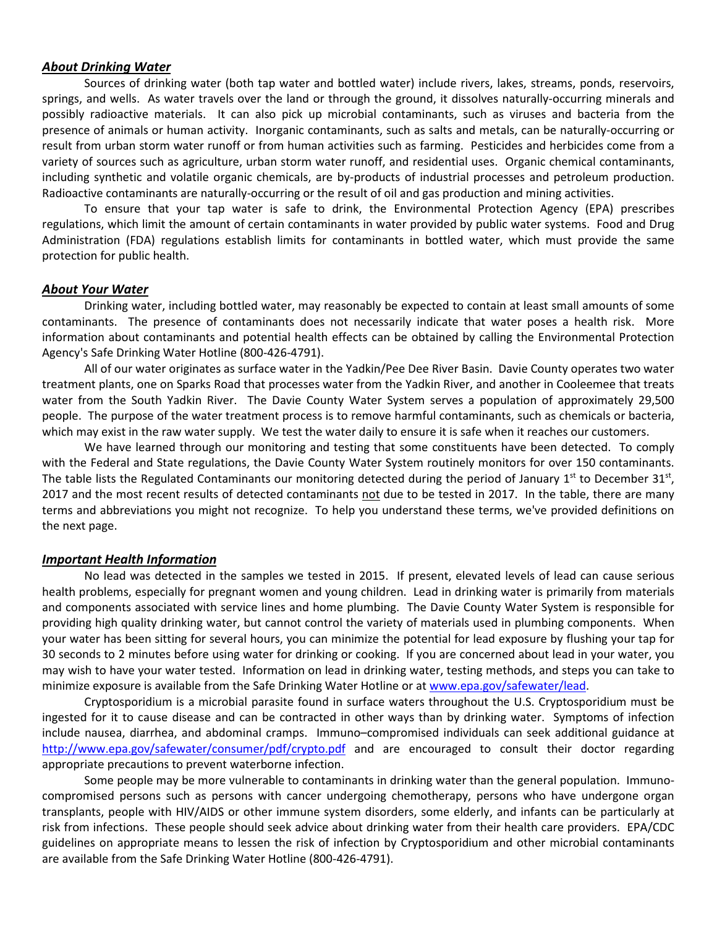#### *About Drinking Water*

Sources of drinking water (both tap water and bottled water) include rivers, lakes, streams, ponds, reservoirs, springs, and wells. As water travels over the land or through the ground, it dissolves naturally-occurring minerals and possibly radioactive materials. It can also pick up microbial contaminants, such as viruses and bacteria from the presence of animals or human activity. Inorganic contaminants, such as salts and metals, can be naturally-occurring or result from urban storm water runoff or from human activities such as farming. Pesticides and herbicides come from a variety of sources such as agriculture, urban storm water runoff, and residential uses. Organic chemical contaminants, including synthetic and volatile organic chemicals, are by-products of industrial processes and petroleum production. Radioactive contaminants are naturally-occurring or the result of oil and gas production and mining activities.

To ensure that your tap water is safe to drink, the Environmental Protection Agency (EPA) prescribes regulations, which limit the amount of certain contaminants in water provided by public water systems. Food and Drug Administration (FDA) regulations establish limits for contaminants in bottled water, which must provide the same protection for public health.

#### *About Your Water*

Drinking water, including bottled water, may reasonably be expected to contain at least small amounts of some contaminants. The presence of contaminants does not necessarily indicate that water poses a health risk. More information about contaminants and potential health effects can be obtained by calling the Environmental Protection Agency's Safe Drinking Water Hotline (800-426-4791).

All of our water originates as surface water in the Yadkin/Pee Dee River Basin. Davie County operates two water treatment plants, one on Sparks Road that processes water from the Yadkin River, and another in Cooleemee that treats water from the South Yadkin River. The Davie County Water System serves a population of approximately 29,500 people. The purpose of the water treatment process is to remove harmful contaminants, such as chemicals or bacteria, which may exist in the raw water supply. We test the water daily to ensure it is safe when it reaches our customers.

We have learned through our monitoring and testing that some constituents have been detected. To comply with the Federal and State regulations, the Davie County Water System routinely monitors for over 150 contaminants. The table lists the Regulated Contaminants our monitoring detected during the period of January  $1<sup>st</sup>$  to December 31 $<sup>st</sup>$ ,</sup> 2017 and the most recent results of detected contaminants not due to be tested in 2017. In the table, there are many terms and abbreviations you might not recognize. To help you understand these terms, we've provided definitions on the next page.

#### *Important Health Information*

No lead was detected in the samples we tested in 2015. If present, elevated levels of lead can cause serious health problems, especially for pregnant women and young children. Lead in drinking water is primarily from materials and components associated with service lines and home plumbing. The Davie County Water System is responsible for providing high quality drinking water, but cannot control the variety of materials used in plumbing components. When your water has been sitting for several hours, you can minimize the potential for lead exposure by flushing your tap for 30 seconds to 2 minutes before using water for drinking or cooking. If you are concerned about lead in your water, you may wish to have your water tested. Information on lead in drinking water, testing methods, and steps you can take to minimize exposure is available from the Safe Drinking Water Hotline or at www.epa.gov/safewater/lead.

Cryptosporidium is a microbial parasite found in surface waters throughout the U.S. Cryptosporidium must be ingested for it to cause disease and can be contracted in other ways than by drinking water. Symptoms of infection include nausea, diarrhea, and abdominal cramps. Immuno–compromised individuals can seek additional guidance at <http://www.epa.gov/safewater/consumer/pdf/crypto.pdf> and are encouraged to consult their doctor regarding appropriate precautions to prevent waterborne infection.

Some people may be more vulnerable to contaminants in drinking water than the general population. Immunocompromised persons such as persons with cancer undergoing chemotherapy, persons who have undergone organ transplants, people with HIV/AIDS or other immune system disorders, some elderly, and infants can be particularly at risk from infections. These people should seek advice about drinking water from their health care providers. EPA/CDC guidelines on appropriate means to lessen the risk of infection by Cryptosporidium and other microbial contaminants are available from the Safe Drinking Water Hotline (800-426-4791).